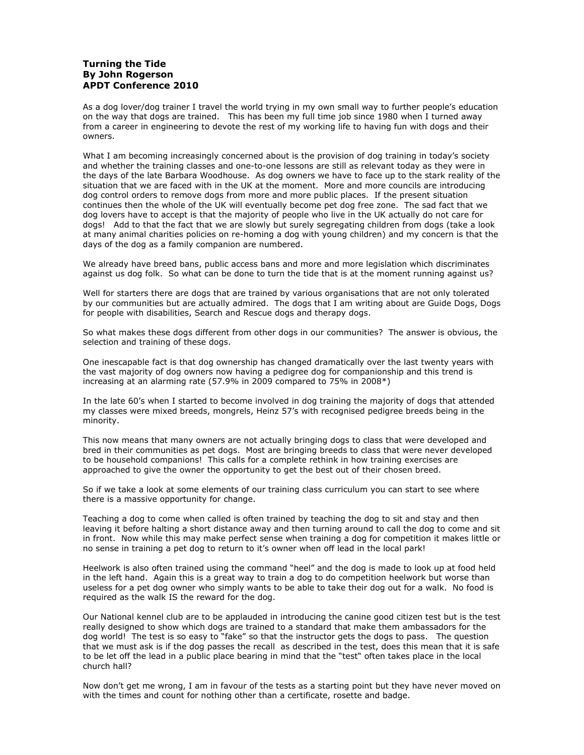## **Turning the Tide By John Rogerson APDT Conference 2010**

As a dog lover/dog trainer I travel the world trying in my own small way to further people's education on the way that dogs are trained. This has been my full time job since 1980 when I turned away from a career in engineering to devote the rest of my working life to having fun with dogs and their owners.

What I am becoming increasingly concerned about is the provision of dog training in today's society and whether the training classes and one-to-one lessons are still as relevant today as they were in the days of the late Barbara Woodhouse. As dog owners we have to face up to the stark reality of the situation that we are faced with in the UK at the moment. More and more councils are introducing dog control orders to remove dogs from more and more public places. If the present situation continues then the whole of the UK will eventually become pet dog free zone. The sad fact that we dog lovers have to accept is that the majority of people who live in the UK actually do not care for dogs! Add to that the fact that we are slowly but surely segregating children from dogs (take a look at many animal charities policies on re-homing a dog with young children) and my concern is that the days of the dog as a family companion are numbered.

We already have breed bans, public access bans and more and more legislation which discriminates against us dog folk. So what can be done to turn the tide that is at the moment running against us?

Well for starters there are dogs that are trained by various organisations that are not only tolerated by our communities but are actually admired. The dogs that I am writing about are Guide Dogs, Dogs for people with disabilities, Search and Rescue dogs and therapy dogs.

So what makes these dogs different from other dogs in our communities? The answer is obvious, the selection and training of these dogs.

One inescapable fact is that dog ownership has changed dramatically over the last twenty years with the vast majority of dog owners now having a pedigree dog for companionship and this trend is increasing at an alarming rate (57.9% in 2009 compared to 75% in 2008\*)

In the late 60's when I started to become involved in dog training the majority of dogs that attended my classes were mixed breeds, mongrels, Heinz 57's with recognised pedigree breeds being in the minority.

This now means that many owners are not actually bringing dogs to class that were developed and bred in their communities as pet dogs. Most are bringing breeds to class that were never developed to be household companions! This calls for a complete rethink in how training exercises are approached to give the owner the opportunity to get the best out of their chosen breed.

So if we take a look at some elements of our training class curriculum you can start to see where there is a massive opportunity for change.

Teaching a dog to come when called is often trained by teaching the dog to sit and stay and then leaving it before halting a short distance away and then turning around to call the dog to come and sit in front. Now while this may make perfect sense when training a dog for competition it makes little or no sense in training a pet dog to return to it's owner when off lead in the local park!

Heelwork is also often trained using the command "heel" and the dog is made to look up at food held in the left hand. Again this is a great way to train a dog to do competition heelwork but worse than useless for a pet dog owner who simply wants to be able to take their dog out for a walk. No food is required as the walk IS the reward for the dog.

Our National kennel club are to be applauded in introducing the canine good citizen test but is the test really designed to show which dogs are trained to a standard that make them ambassadors for the dog world! The test is so easy to "fake" so that the instructor gets the dogs to pass. The question that we must ask is if the dog passes the recall as described in the test, does this mean that it is safe to be let off the lead in a public place bearing in mind that the "test" often takes place in the local church hall?

Now don't get me wrong, I am in favour of the tests as a starting point but they have never moved on with the times and count for nothing other than a certificate, rosette and badge.